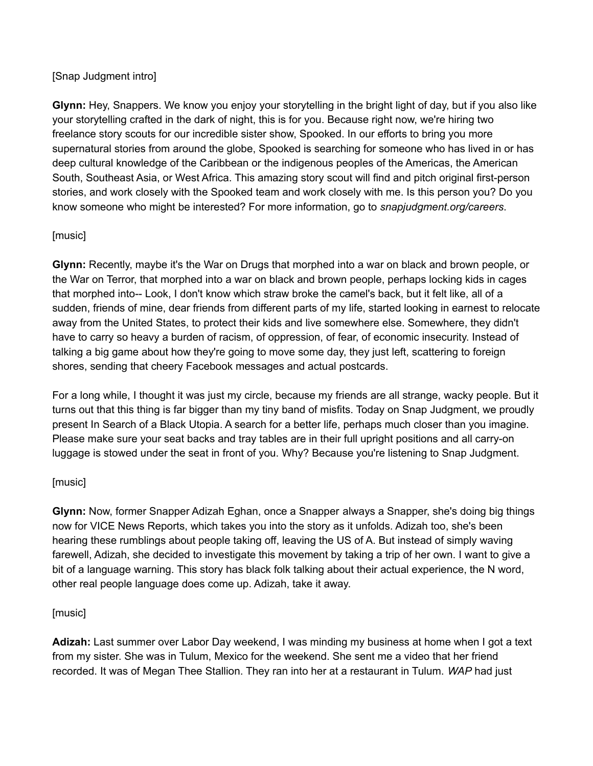### [Snap Judgment intro]

**Glynn:** Hey, Snappers. We know you enjoy your storytelling in the bright light of day, but if you also like your storytelling crafted in the dark of night, this is for you. Because right now, we're hiring two freelance story scouts for our incredible sister show, Spooked. In our efforts to bring you more supernatural stories from around the globe, Spooked is searching for someone who has lived in or has deep cultural knowledge of the Caribbean or the indigenous peoples of the Americas, the American South, Southeast Asia, or West Africa. This amazing story scout will find and pitch original first-person stories, and work closely with the Spooked team and work closely with me. Is this person you? Do you know someone who might be interested? For more information, go to *snapjudgment.org/careers*.

## [music]

**Glynn:** Recently, maybe it's the War on Drugs that morphed into a war on black and brown people, or the War on Terror, that morphed into a war on black and brown people, perhaps locking kids in cages that morphed into-- Look, I don't know which straw broke the camel's back, but it felt like, all of a sudden, friends of mine, dear friends from different parts of my life, started looking in earnest to relocate away from the United States, to protect their kids and live somewhere else. Somewhere, they didn't have to carry so heavy a burden of racism, of oppression, of fear, of economic insecurity. Instead of talking a big game about how they're going to move some day, they just left, scattering to foreign shores, sending that cheery Facebook messages and actual postcards.

For a long while, I thought it was just my circle, because my friends are all strange, wacky people. But it turns out that this thing is far bigger than my tiny band of misfits. Today on Snap Judgment, we proudly present In Search of a Black Utopia. A search for a better life, perhaps much closer than you imagine. Please make sure your seat backs and tray tables are in their full upright positions and all carry-on luggage is stowed under the seat in front of you. Why? Because you're listening to Snap Judgment.

### [music]

**Glynn:** Now, former Snapper Adizah Eghan, once a Snapper always a Snapper, she's doing big things now for VICE News Reports, which takes you into the story as it unfolds. Adizah too, she's been hearing these rumblings about people taking off, leaving the US of A. But instead of simply waving farewell, Adizah, she decided to investigate this movement by taking a trip of her own. I want to give a bit of a language warning. This story has black folk talking about their actual experience, the N word, other real people language does come up. Adizah, take it away.

### [music]

**Adizah:** Last summer over Labor Day weekend, I was minding my business at home when I got a text from my sister. She was in Tulum, Mexico for the weekend. She sent me a video that her friend recorded. It was of Megan Thee Stallion. They ran into her at a restaurant in Tulum. *WAP* had just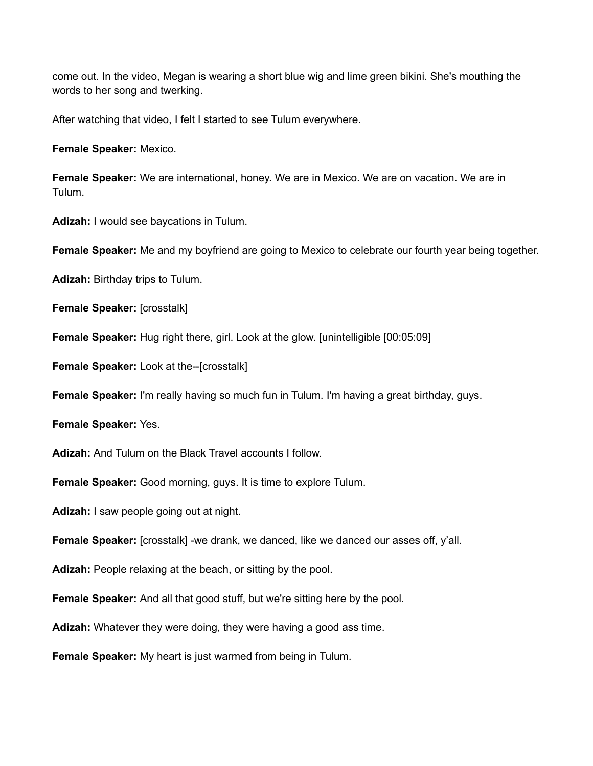come out. In the video, Megan is wearing a short blue wig and lime green bikini. She's mouthing the words to her song and twerking.

After watching that video, I felt I started to see Tulum everywhere.

**Female Speaker:** Mexico.

**Female Speaker:** We are international, honey. We are in Mexico. We are on vacation. We are in Tulum.

**Adizah:** I would see baycations in Tulum.

**Female Speaker:** Me and my boyfriend are going to Mexico to celebrate our fourth year being together.

**Adizah:** Birthday trips to Tulum.

**Female Speaker:** [crosstalk]

**Female Speaker:** Hug right there, girl. Look at the glow. [unintelligible [00:05:09]

**Female Speaker:** Look at the--[crosstalk]

**Female Speaker:** I'm really having so much fun in Tulum. I'm having a great birthday, guys.

**Female Speaker:** Yes.

**Adizah:** And Tulum on the Black Travel accounts I follow.

**Female Speaker:** Good morning, guys. It is time to explore Tulum.

**Adizah:** I saw people going out at night.

**Female Speaker:** [crosstalk] -we drank, we danced, like we danced our asses off, y'all.

**Adizah:** People relaxing at the beach, or sitting by the pool.

**Female Speaker:** And all that good stuff, but we're sitting here by the pool.

**Adizah:** Whatever they were doing, they were having a good ass time.

**Female Speaker:** My heart is just warmed from being in Tulum.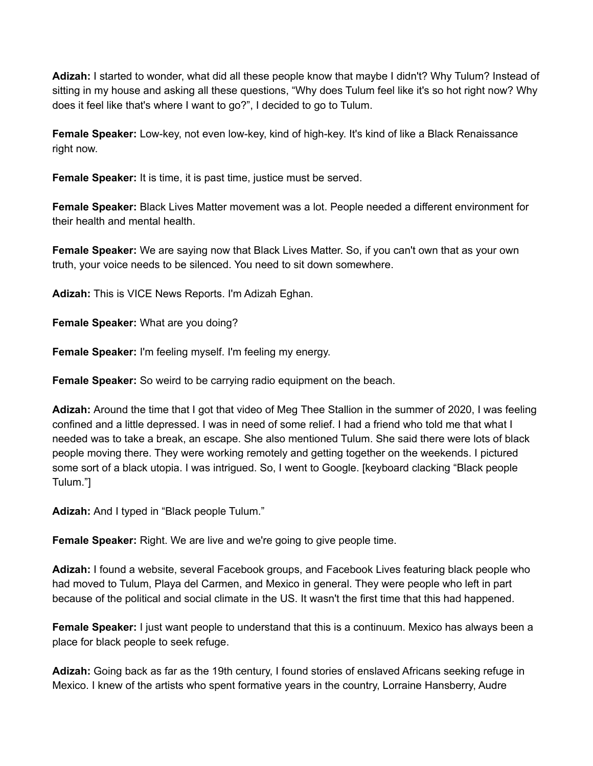**Adizah:** I started to wonder, what did all these people know that maybe I didn't? Why Tulum? Instead of sitting in my house and asking all these questions, "Why does Tulum feel like it's so hot right now? Why does it feel like that's where I want to go?", I decided to go to Tulum.

**Female Speaker:** Low-key, not even low-key, kind of high-key. It's kind of like a Black Renaissance right now.

**Female Speaker:** It is time, it is past time, justice must be served.

**Female Speaker:** Black Lives Matter movement was a lot. People needed a different environment for their health and mental health.

**Female Speaker:** We are saying now that Black Lives Matter. So, if you can't own that as your own truth, your voice needs to be silenced. You need to sit down somewhere.

**Adizah:** This is VICE News Reports. I'm Adizah Eghan.

**Female Speaker:** What are you doing?

**Female Speaker:** I'm feeling myself. I'm feeling my energy.

**Female Speaker:** So weird to be carrying radio equipment on the beach.

**Adizah:** Around the time that I got that video of Meg Thee Stallion in the summer of 2020, I was feeling confined and a little depressed. I was in need of some relief. I had a friend who told me that what I needed was to take a break, an escape. She also mentioned Tulum. She said there were lots of black people moving there. They were working remotely and getting together on the weekends. I pictured some sort of a black utopia. I was intrigued. So, I went to Google. [keyboard clacking "Black people Tulum."]

**Adizah:** And I typed in "Black people Tulum."

**Female Speaker:** Right. We are live and we're going to give people time.

**Adizah:** I found a website, several Facebook groups, and Facebook Lives featuring black people who had moved to Tulum, Playa del Carmen, and Mexico in general. They were people who left in part because of the political and social climate in the US. It wasn't the first time that this had happened.

**Female Speaker:** I just want people to understand that this is a continuum. Mexico has always been a place for black people to seek refuge.

**Adizah:** Going back as far as the 19th century, I found stories of enslaved Africans seeking refuge in Mexico. I knew of the artists who spent formative years in the country, Lorraine Hansberry, Audre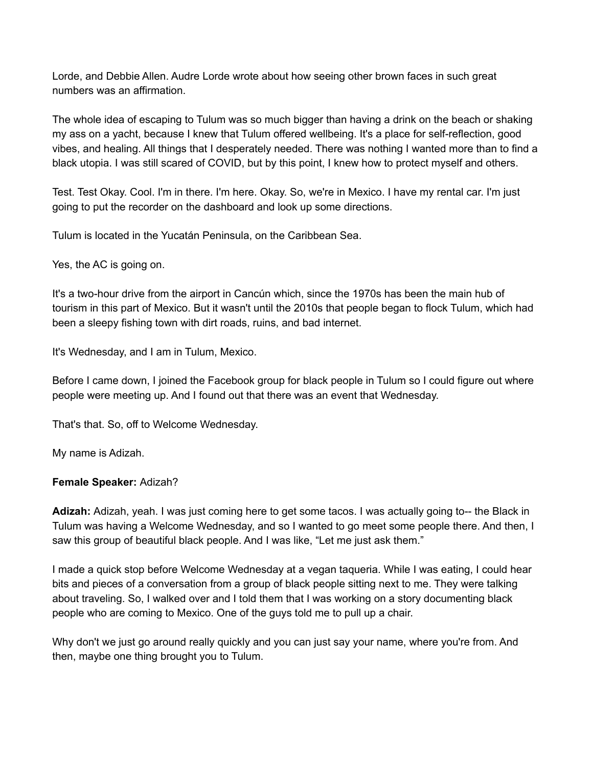Lorde, and Debbie Allen. Audre Lorde wrote about how seeing other brown faces in such great numbers was an affirmation.

The whole idea of escaping to Tulum was so much bigger than having a drink on the beach or shaking my ass on a yacht, because I knew that Tulum offered wellbeing. It's a place for self-reflection, good vibes, and healing. All things that I desperately needed. There was nothing I wanted more than to find a black utopia. I was still scared of COVID, but by this point, I knew how to protect myself and others.

Test. Test Okay. Cool. I'm in there. I'm here. Okay. So, we're in Mexico. I have my rental car. I'm just going to put the recorder on the dashboard and look up some directions.

Tulum is located in the Yucatán Peninsula, on the Caribbean Sea.

Yes, the AC is going on.

It's a two-hour drive from the airport in Cancún which, since the 1970s has been the main hub of tourism in this part of Mexico. But it wasn't until the 2010s that people began to flock Tulum, which had been a sleepy fishing town with dirt roads, ruins, and bad internet.

It's Wednesday, and I am in Tulum, Mexico.

Before I came down, I joined the Facebook group for black people in Tulum so I could figure out where people were meeting up. And I found out that there was an event that Wednesday.

That's that. So, off to Welcome Wednesday.

My name is Adizah.

#### **Female Speaker:** Adizah?

**Adizah:** Adizah, yeah. I was just coming here to get some tacos. I was actually going to-- the Black in Tulum was having a Welcome Wednesday, and so I wanted to go meet some people there. And then, I saw this group of beautiful black people. And I was like, "Let me just ask them."

I made a quick stop before Welcome Wednesday at a vegan taqueria. While I was eating, I could hear bits and pieces of a conversation from a group of black people sitting next to me. They were talking about traveling. So, I walked over and I told them that I was working on a story documenting black people who are coming to Mexico. One of the guys told me to pull up a chair.

Why don't we just go around really quickly and you can just say your name, where you're from. And then, maybe one thing brought you to Tulum.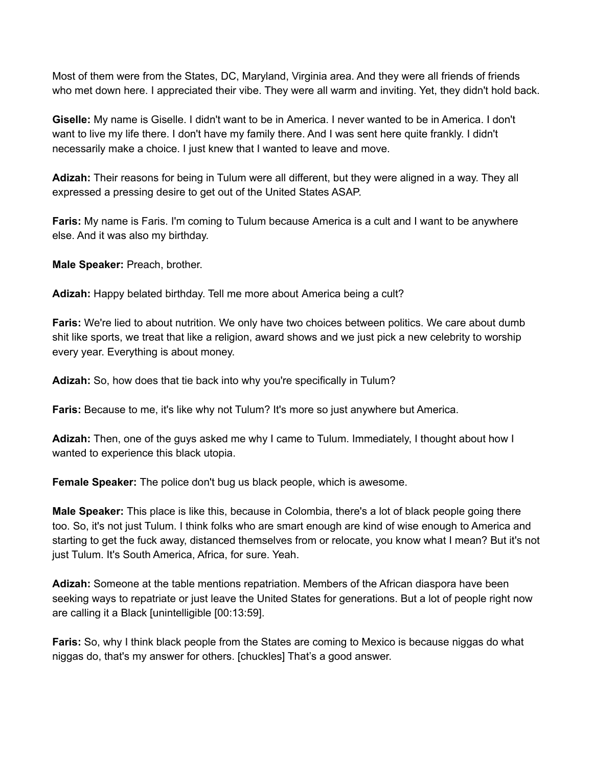Most of them were from the States, DC, Maryland, Virginia area. And they were all friends of friends who met down here. I appreciated their vibe. They were all warm and inviting. Yet, they didn't hold back.

**Giselle:** My name is Giselle. I didn't want to be in America. I never wanted to be in America. I don't want to live my life there. I don't have my family there. And I was sent here quite frankly. I didn't necessarily make a choice. I just knew that I wanted to leave and move.

**Adizah:** Their reasons for being in Tulum were all different, but they were aligned in a way. They all expressed a pressing desire to get out of the United States ASAP.

**Faris:** My name is Faris. I'm coming to Tulum because America is a cult and I want to be anywhere else. And it was also my birthday.

**Male Speaker:** Preach, brother.

**Adizah:** Happy belated birthday. Tell me more about America being a cult?

**Faris:** We're lied to about nutrition. We only have two choices between politics. We care about dumb shit like sports, we treat that like a religion, award shows and we just pick a new celebrity to worship every year. Everything is about money.

**Adizah:** So, how does that tie back into why you're specifically in Tulum?

**Faris:** Because to me, it's like why not Tulum? It's more so just anywhere but America.

**Adizah:** Then, one of the guys asked me why I came to Tulum. Immediately, I thought about how I wanted to experience this black utopia.

**Female Speaker:** The police don't bug us black people, which is awesome.

**Male Speaker:** This place is like this, because in Colombia, there's a lot of black people going there too. So, it's not just Tulum. I think folks who are smart enough are kind of wise enough to America and starting to get the fuck away, distanced themselves from or relocate, you know what I mean? But it's not just Tulum. It's South America, Africa, for sure. Yeah.

**Adizah:** Someone at the table mentions repatriation. Members of the African diaspora have been seeking ways to repatriate or just leave the United States for generations. But a lot of people right now are calling it a Black [unintelligible [00:13:59].

**Faris:** So, why I think black people from the States are coming to Mexico is because niggas do what niggas do, that's my answer for others. [chuckles] That's a good answer.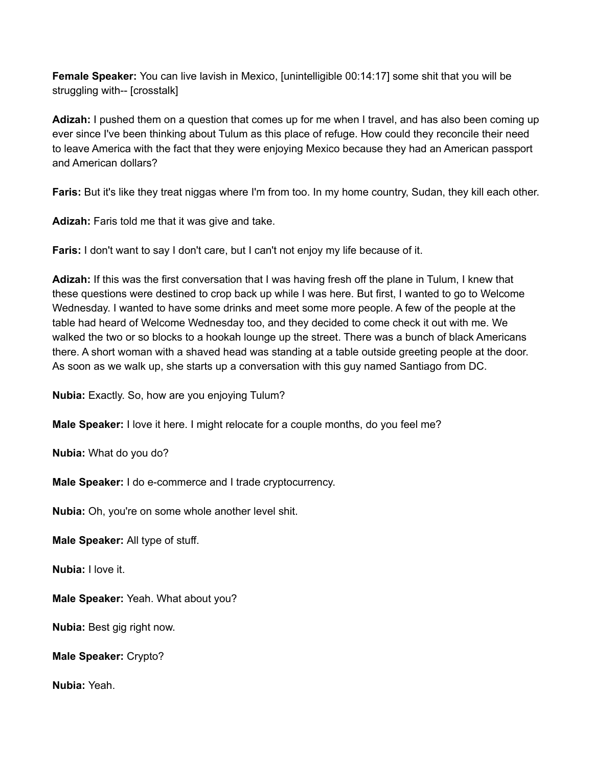**Female Speaker:** You can live lavish in Mexico, [unintelligible 00:14:17] some shit that you will be struggling with-- [crosstalk]

**Adizah:** I pushed them on a question that comes up for me when I travel, and has also been coming up ever since I've been thinking about Tulum as this place of refuge. How could they reconcile their need to leave America with the fact that they were enjoying Mexico because they had an American passport and American dollars?

**Faris:** But it's like they treat niggas where I'm from too. In my home country, Sudan, they kill each other.

**Adizah:** Faris told me that it was give and take.

**Faris:** I don't want to say I don't care, but I can't not enjoy my life because of it.

**Adizah:** If this was the first conversation that I was having fresh off the plane in Tulum, I knew that these questions were destined to crop back up while I was here. But first, I wanted to go to Welcome Wednesday. I wanted to have some drinks and meet some more people. A few of the people at the table had heard of Welcome Wednesday too, and they decided to come check it out with me. We walked the two or so blocks to a hookah lounge up the street. There was a bunch of black Americans there. A short woman with a shaved head was standing at a table outside greeting people at the door. As soon as we walk up, she starts up a conversation with this guy named Santiago from DC.

**Nubia:** Exactly. So, how are you enjoying Tulum?

**Male Speaker:** I love it here. I might relocate for a couple months, do you feel me?

**Nubia:** What do you do?

**Male Speaker:** I do e-commerce and I trade cryptocurrency.

**Nubia:** Oh, you're on some whole another level shit.

**Male Speaker:** All type of stuff.

**Nubia:** I love it.

**Male Speaker:** Yeah. What about you?

**Nubia:** Best gig right now.

**Male Speaker:** Crypto?

**Nubia:** Yeah.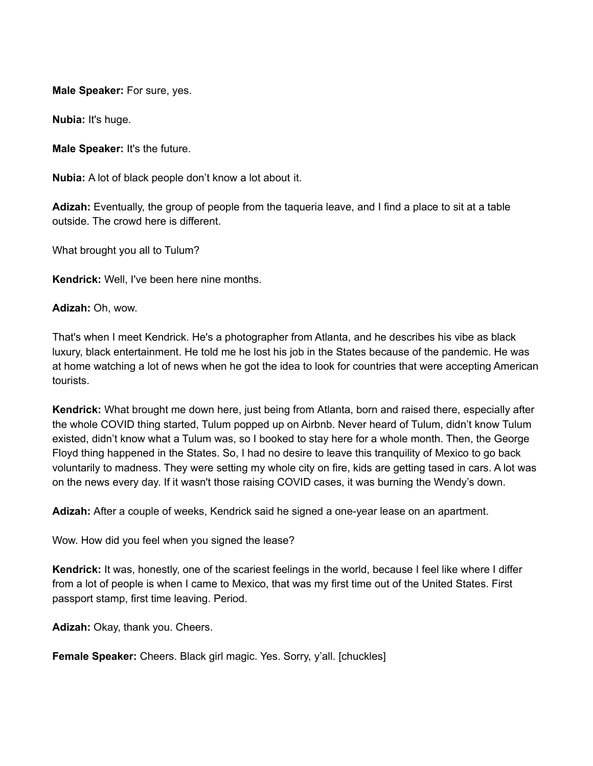**Male Speaker:** For sure, yes.

**Nubia:** It's huge.

**Male Speaker:** It's the future.

**Nubia:** A lot of black people don't know a lot about it.

**Adizah:** Eventually, the group of people from the taqueria leave, and I find a place to sit at a table outside. The crowd here is different.

What brought you all to Tulum?

**Kendrick:** Well, I've been here nine months.

**Adizah:** Oh, wow.

That's when I meet Kendrick. He's a photographer from Atlanta, and he describes his vibe as black luxury, black entertainment. He told me he lost his job in the States because of the pandemic. He was at home watching a lot of news when he got the idea to look for countries that were accepting American tourists.

**Kendrick:** What brought me down here, just being from Atlanta, born and raised there, especially after the whole COVID thing started, Tulum popped up on Airbnb. Never heard of Tulum, didn't know Tulum existed, didn't know what a Tulum was, so I booked to stay here for a whole month. Then, the George Floyd thing happened in the States. So, I had no desire to leave this tranquility of Mexico to go back voluntarily to madness. They were setting my whole city on fire, kids are getting tased in cars. A lot was on the news every day. If it wasn't those raising COVID cases, it was burning the Wendy's down.

**Adizah:** After a couple of weeks, Kendrick said he signed a one-year lease on an apartment.

Wow. How did you feel when you signed the lease?

**Kendrick:** It was, honestly, one of the scariest feelings in the world, because I feel like where I differ from a lot of people is when I came to Mexico, that was my first time out of the United States. First passport stamp, first time leaving. Period.

**Adizah:** Okay, thank you. Cheers.

**Female Speaker:** Cheers. Black girl magic. Yes. Sorry, y'all. [chuckles]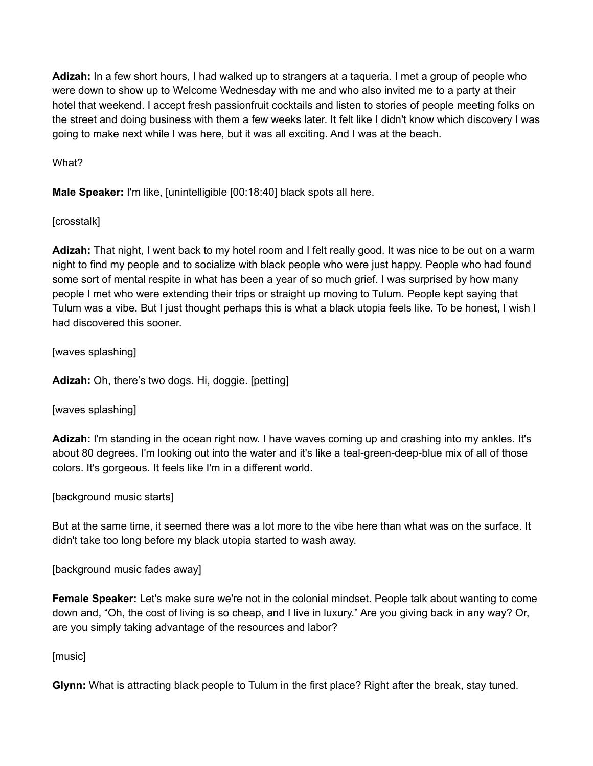**Adizah:** In a few short hours, I had walked up to strangers at a taqueria. I met a group of people who were down to show up to Welcome Wednesday with me and who also invited me to a party at their hotel that weekend. I accept fresh passionfruit cocktails and listen to stories of people meeting folks on the street and doing business with them a few weeks later. It felt like I didn't know which discovery I was going to make next while I was here, but it was all exciting. And I was at the beach.

What?

**Male Speaker:** I'm like, [unintelligible [00:18:40] black spots all here.

[crosstalk]

**Adizah:** That night, I went back to my hotel room and I felt really good. It was nice to be out on a warm night to find my people and to socialize with black people who were just happy. People who had found some sort of mental respite in what has been a year of so much grief. I was surprised by how many people I met who were extending their trips or straight up moving to Tulum. People kept saying that Tulum was a vibe. But I just thought perhaps this is what a black utopia feels like. To be honest, I wish I had discovered this sooner.

[waves splashing]

**Adizah:** Oh, there's two dogs. Hi, doggie. [petting]

[waves splashing]

**Adizah:** I'm standing in the ocean right now. I have waves coming up and crashing into my ankles. It's about 80 degrees. I'm looking out into the water and it's like a teal-green-deep-blue mix of all of those colors. It's gorgeous. It feels like I'm in a different world.

[background music starts]

But at the same time, it seemed there was a lot more to the vibe here than what was on the surface. It didn't take too long before my black utopia started to wash away.

[background music fades away]

**Female Speaker:** Let's make sure we're not in the colonial mindset. People talk about wanting to come down and, "Oh, the cost of living is so cheap, and I live in luxury." Are you giving back in any way? Or, are you simply taking advantage of the resources and labor?

[music]

**Glynn:** What is attracting black people to Tulum in the first place? Right after the break, stay tuned.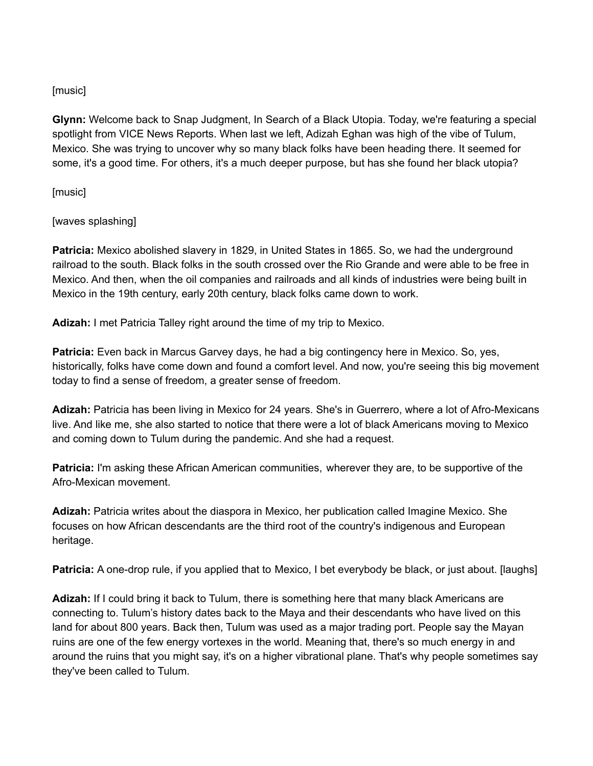#### [music]

**Glynn:** Welcome back to Snap Judgment, In Search of a Black Utopia. Today, we're featuring a special spotlight from VICE News Reports. When last we left, Adizah Eghan was high of the vibe of Tulum, Mexico. She was trying to uncover why so many black folks have been heading there. It seemed for some, it's a good time. For others, it's a much deeper purpose, but has she found her black utopia?

[music]

[waves splashing]

**Patricia:** Mexico abolished slavery in 1829, in United States in 1865. So, we had the underground railroad to the south. Black folks in the south crossed over the Rio Grande and were able to be free in Mexico. And then, when the oil companies and railroads and all kinds of industries were being built in Mexico in the 19th century, early 20th century, black folks came down to work.

**Adizah:** I met Patricia Talley right around the time of my trip to Mexico.

**Patricia:** Even back in Marcus Garvey days, he had a big contingency here in Mexico. So, yes, historically, folks have come down and found a comfort level. And now, you're seeing this big movement today to find a sense of freedom, a greater sense of freedom.

**Adizah:** Patricia has been living in Mexico for 24 years. She's in Guerrero, where a lot of Afro-Mexicans live. And like me, she also started to notice that there were a lot of black Americans moving to Mexico and coming down to Tulum during the pandemic. And she had a request.

**Patricia:** I'm asking these African American communities, wherever they are, to be supportive of the Afro-Mexican movement.

**Adizah:** Patricia writes about the diaspora in Mexico, her publication called Imagine Mexico. She focuses on how African descendants are the third root of the country's indigenous and European heritage.

**Patricia:** A one-drop rule, if you applied that to Mexico, I bet everybody be black, or just about. [laughs]

**Adizah:** If I could bring it back to Tulum, there is something here that many black Americans are connecting to. Tulum's history dates back to the Maya and their descendants who have lived on this land for about 800 years. Back then, Tulum was used as a major trading port. People say the Mayan ruins are one of the few energy vortexes in the world. Meaning that, there's so much energy in and around the ruins that you might say, it's on a higher vibrational plane. That's why people sometimes say they've been called to Tulum.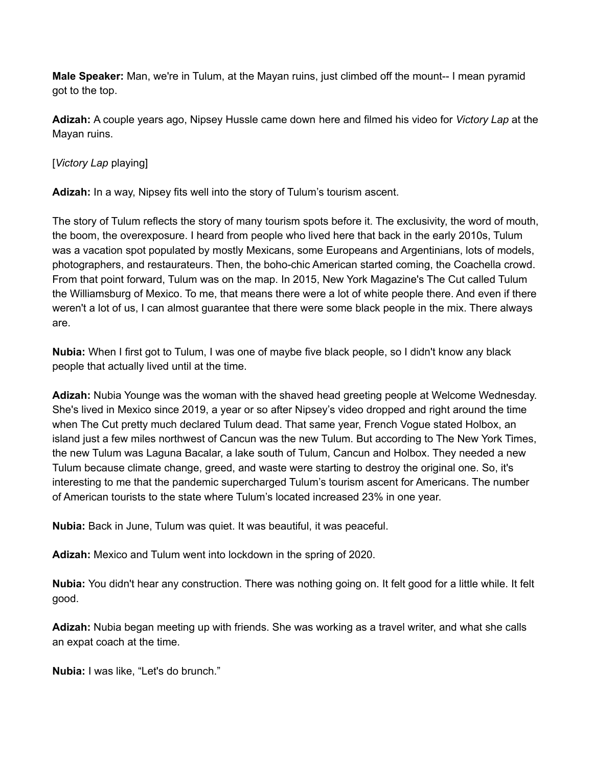**Male Speaker:** Man, we're in Tulum, at the Mayan ruins, just climbed off the mount-- I mean pyramid got to the top.

**Adizah:** A couple years ago, Nipsey Hussle came down here and filmed his video for *Victory Lap* at the Mayan ruins.

[*Victory Lap* playing]

**Adizah:** In a way, Nipsey fits well into the story of Tulum's tourism ascent.

The story of Tulum reflects the story of many tourism spots before it. The exclusivity, the word of mouth, the boom, the overexposure. I heard from people who lived here that back in the early 2010s, Tulum was a vacation spot populated by mostly Mexicans, some Europeans and Argentinians, lots of models, photographers, and restaurateurs. Then, the boho-chic American started coming, the Coachella crowd. From that point forward, Tulum was on the map. In 2015, New York Magazine's The Cut called Tulum the Williamsburg of Mexico. To me, that means there were a lot of white people there. And even if there weren't a lot of us, I can almost guarantee that there were some black people in the mix. There always are.

**Nubia:** When I first got to Tulum, I was one of maybe five black people, so I didn't know any black people that actually lived until at the time.

**Adizah:** Nubia Younge was the woman with the shaved head greeting people at Welcome Wednesday. She's lived in Mexico since 2019, a year or so after Nipsey's video dropped and right around the time when The Cut pretty much declared Tulum dead. That same year, French Vogue stated Holbox, an island just a few miles northwest of Cancun was the new Tulum. But according to The New York Times, the new Tulum was Laguna Bacalar, a lake south of Tulum, Cancun and Holbox. They needed a new Tulum because climate change, greed, and waste were starting to destroy the original one. So, it's interesting to me that the pandemic supercharged Tulum's tourism ascent for Americans. The number of American tourists to the state where Tulum's located increased 23% in one year.

**Nubia:** Back in June, Tulum was quiet. It was beautiful, it was peaceful.

**Adizah:** Mexico and Tulum went into lockdown in the spring of 2020.

**Nubia:** You didn't hear any construction. There was nothing going on. It felt good for a little while. It felt good.

**Adizah:** Nubia began meeting up with friends. She was working as a travel writer, and what she calls an expat coach at the time.

**Nubia:** I was like, "Let's do brunch."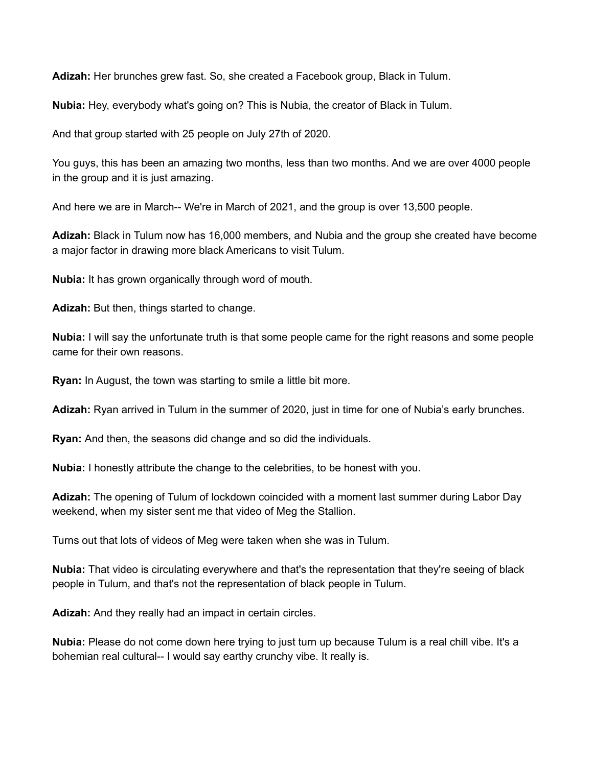**Adizah:** Her brunches grew fast. So, she created a Facebook group, Black in Tulum.

**Nubia:** Hey, everybody what's going on? This is Nubia, the creator of Black in Tulum.

And that group started with 25 people on July 27th of 2020.

You guys, this has been an amazing two months, less than two months. And we are over 4000 people in the group and it is just amazing.

And here we are in March-- We're in March of 2021, and the group is over 13,500 people.

**Adizah:** Black in Tulum now has 16,000 members, and Nubia and the group she created have become a major factor in drawing more black Americans to visit Tulum.

**Nubia:** It has grown organically through word of mouth.

**Adizah:** But then, things started to change.

**Nubia:** I will say the unfortunate truth is that some people came for the right reasons and some people came for their own reasons.

**Ryan:** In August, the town was starting to smile a little bit more.

**Adizah:** Ryan arrived in Tulum in the summer of 2020, just in time for one of Nubia's early brunches.

**Ryan:** And then, the seasons did change and so did the individuals.

**Nubia:** I honestly attribute the change to the celebrities, to be honest with you.

**Adizah:** The opening of Tulum of lockdown coincided with a moment last summer during Labor Day weekend, when my sister sent me that video of Meg the Stallion.

Turns out that lots of videos of Meg were taken when she was in Tulum.

**Nubia:** That video is circulating everywhere and that's the representation that they're seeing of black people in Tulum, and that's not the representation of black people in Tulum.

**Adizah:** And they really had an impact in certain circles.

**Nubia:** Please do not come down here trying to just turn up because Tulum is a real chill vibe. It's a bohemian real cultural-- I would say earthy crunchy vibe. It really is.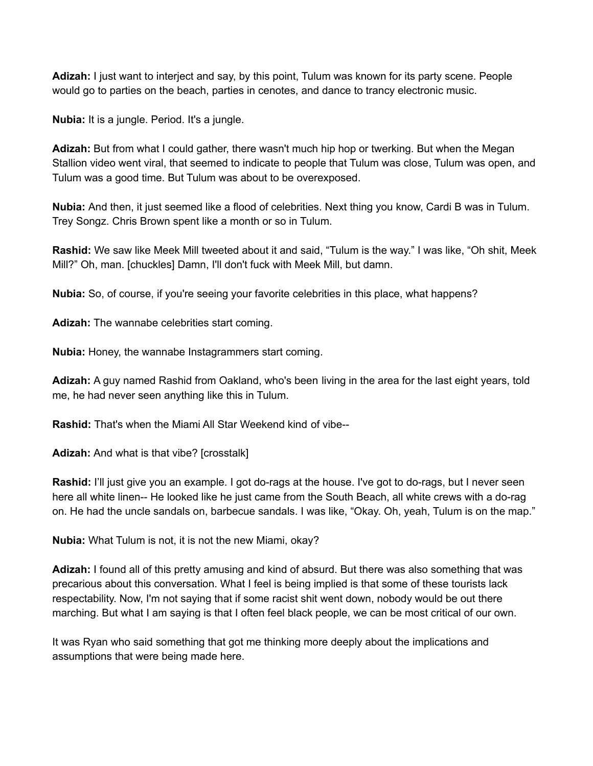**Adizah:** I just want to interject and say, by this point, Tulum was known for its party scene. People would go to parties on the beach, parties in cenotes, and dance to trancy electronic music.

**Nubia:** It is a jungle. Period. It's a jungle.

**Adizah:** But from what I could gather, there wasn't much hip hop or twerking. But when the Megan Stallion video went viral, that seemed to indicate to people that Tulum was close, Tulum was open, and Tulum was a good time. But Tulum was about to be overexposed.

**Nubia:** And then, it just seemed like a flood of celebrities. Next thing you know, Cardi B was in Tulum. Trey Songz. Chris Brown spent like a month or so in Tulum.

**Rashid:** We saw like Meek Mill tweeted about it and said, "Tulum is the way." I was like, "Oh shit, Meek Mill?" Oh, man. [chuckles] Damn, I'll don't fuck with Meek Mill, but damn.

**Nubia:** So, of course, if you're seeing your favorite celebrities in this place, what happens?

**Adizah:** The wannabe celebrities start coming.

**Nubia:** Honey, the wannabe Instagrammers start coming.

**Adizah:** A guy named Rashid from Oakland, who's been living in the area for the last eight years, told me, he had never seen anything like this in Tulum.

**Rashid:** That's when the Miami All Star Weekend kind of vibe--

**Adizah:** And what is that vibe? [crosstalk]

**Rashid:** I'll just give you an example. I got do-rags at the house. I've got to do-rags, but I never seen here all white linen-- He looked like he just came from the South Beach, all white crews with a do-rag on. He had the uncle sandals on, barbecue sandals. I was like, "Okay. Oh, yeah, Tulum is on the map."

**Nubia:** What Tulum is not, it is not the new Miami, okay?

**Adizah:** I found all of this pretty amusing and kind of absurd. But there was also something that was precarious about this conversation. What I feel is being implied is that some of these tourists lack respectability. Now, I'm not saying that if some racist shit went down, nobody would be out there marching. But what I am saying is that I often feel black people, we can be most critical of our own.

It was Ryan who said something that got me thinking more deeply about the implications and assumptions that were being made here.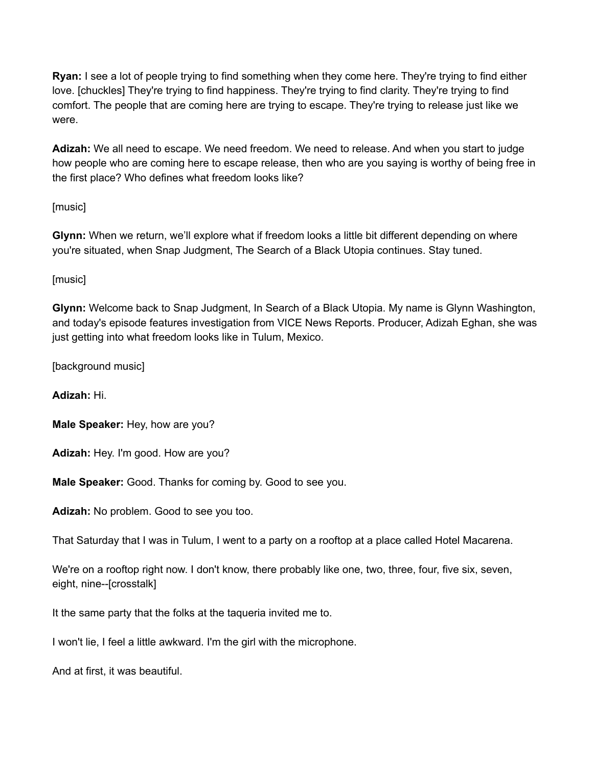**Ryan:** I see a lot of people trying to find something when they come here. They're trying to find either love. [chuckles] They're trying to find happiness. They're trying to find clarity. They're trying to find comfort. The people that are coming here are trying to escape. They're trying to release just like we were.

**Adizah:** We all need to escape. We need freedom. We need to release. And when you start to judge how people who are coming here to escape release, then who are you saying is worthy of being free in the first place? Who defines what freedom looks like?

[music]

**Glynn:** When we return, we'll explore what if freedom looks a little bit different depending on where you're situated, when Snap Judgment, The Search of a Black Utopia continues. Stay tuned.

[music]

**Glynn:** Welcome back to Snap Judgment, In Search of a Black Utopia. My name is Glynn Washington, and today's episode features investigation from VICE News Reports. Producer, Adizah Eghan, she was just getting into what freedom looks like in Tulum, Mexico.

[background music]

**Adizah:** Hi.

**Male Speaker:** Hey, how are you?

**Adizah:** Hey. I'm good. How are you?

**Male Speaker:** Good. Thanks for coming by. Good to see you.

**Adizah:** No problem. Good to see you too.

That Saturday that I was in Tulum, I went to a party on a rooftop at a place called Hotel Macarena.

We're on a rooftop right now. I don't know, there probably like one, two, three, four, five six, seven, eight, nine--[crosstalk]

It the same party that the folks at the taqueria invited me to.

I won't lie, I feel a little awkward. I'm the girl with the microphone.

And at first, it was beautiful.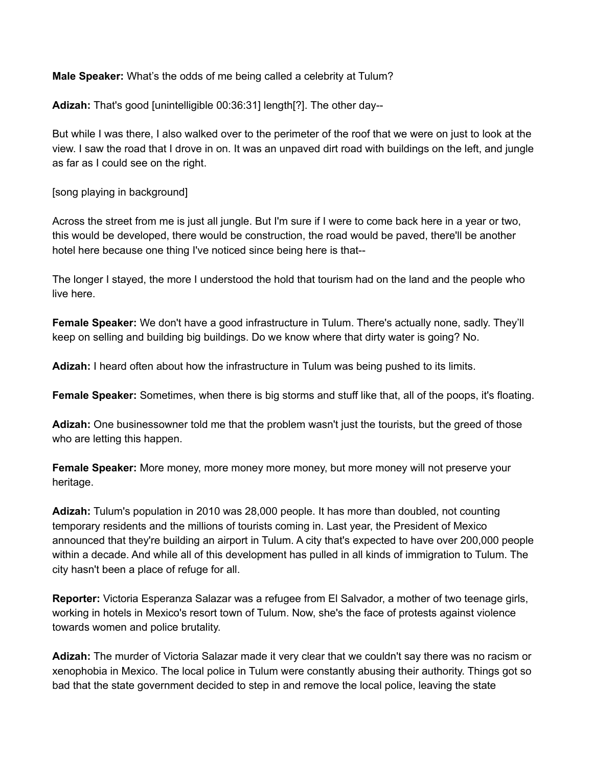**Male Speaker:** What's the odds of me being called a celebrity at Tulum?

**Adizah:** That's good [unintelligible 00:36:31] length[?]. The other day--

But while I was there, I also walked over to the perimeter of the roof that we were on just to look at the view. I saw the road that I drove in on. It was an unpaved dirt road with buildings on the left, and jungle as far as I could see on the right.

[song playing in background]

Across the street from me is just all jungle. But I'm sure if I were to come back here in a year or two, this would be developed, there would be construction, the road would be paved, there'll be another hotel here because one thing I've noticed since being here is that--

The longer I stayed, the more I understood the hold that tourism had on the land and the people who live here.

**Female Speaker:** We don't have a good infrastructure in Tulum. There's actually none, sadly. They'll keep on selling and building big buildings. Do we know where that dirty water is going? No.

**Adizah:** I heard often about how the infrastructure in Tulum was being pushed to its limits.

**Female Speaker:** Sometimes, when there is big storms and stuff like that, all of the poops, it's floating.

**Adizah:** One businessowner told me that the problem wasn't just the tourists, but the greed of those who are letting this happen.

**Female Speaker:** More money, more money more money, but more money will not preserve your heritage.

**Adizah:** Tulum's population in 2010 was 28,000 people. It has more than doubled, not counting temporary residents and the millions of tourists coming in. Last year, the President of Mexico announced that they're building an airport in Tulum. A city that's expected to have over 200,000 people within a decade. And while all of this development has pulled in all kinds of immigration to Tulum. The city hasn't been a place of refuge for all.

**Reporter:** Victoria Esperanza Salazar was a refugee from El Salvador, a mother of two teenage girls, working in hotels in Mexico's resort town of Tulum. Now, she's the face of protests against violence towards women and police brutality.

**Adizah:** The murder of Victoria Salazar made it very clear that we couldn't say there was no racism or xenophobia in Mexico. The local police in Tulum were constantly abusing their authority. Things got so bad that the state government decided to step in and remove the local police, leaving the state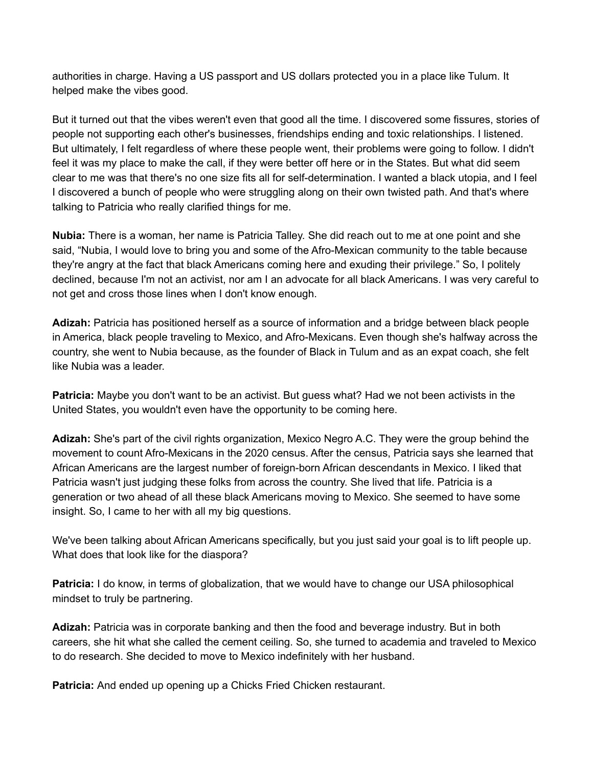authorities in charge. Having a US passport and US dollars protected you in a place like Tulum. It helped make the vibes good.

But it turned out that the vibes weren't even that good all the time. I discovered some fissures, stories of people not supporting each other's businesses, friendships ending and toxic relationships. I listened. But ultimately, I felt regardless of where these people went, their problems were going to follow. I didn't feel it was my place to make the call, if they were better off here or in the States. But what did seem clear to me was that there's no one size fits all for self-determination. I wanted a black utopia, and I feel I discovered a bunch of people who were struggling along on their own twisted path. And that's where talking to Patricia who really clarified things for me.

**Nubia:** There is a woman, her name is Patricia Talley. She did reach out to me at one point and she said, "Nubia, I would love to bring you and some of the Afro-Mexican community to the table because they're angry at the fact that black Americans coming here and exuding their privilege." So, I politely declined, because I'm not an activist, nor am I an advocate for all black Americans. I was very careful to not get and cross those lines when I don't know enough.

**Adizah:** Patricia has positioned herself as a source of information and a bridge between black people in America, black people traveling to Mexico, and Afro-Mexicans. Even though she's halfway across the country, she went to Nubia because, as the founder of Black in Tulum and as an expat coach, she felt like Nubia was a leader.

**Patricia:** Maybe you don't want to be an activist. But guess what? Had we not been activists in the United States, you wouldn't even have the opportunity to be coming here.

**Adizah:** She's part of the civil rights organization, Mexico Negro A.C. They were the group behind the movement to count Afro-Mexicans in the 2020 census. After the census, Patricia says she learned that African Americans are the largest number of foreign-born African descendants in Mexico. I liked that Patricia wasn't just judging these folks from across the country. She lived that life. Patricia is a generation or two ahead of all these black Americans moving to Mexico. She seemed to have some insight. So, I came to her with all my big questions.

We've been talking about African Americans specifically, but you just said your goal is to lift people up. What does that look like for the diaspora?

**Patricia:** I do know, in terms of globalization, that we would have to change our USA philosophical mindset to truly be partnering.

**Adizah:** Patricia was in corporate banking and then the food and beverage industry. But in both careers, she hit what she called the cement ceiling. So, she turned to academia and traveled to Mexico to do research. She decided to move to Mexico indefinitely with her husband.

**Patricia:** And ended up opening up a Chicks Fried Chicken restaurant.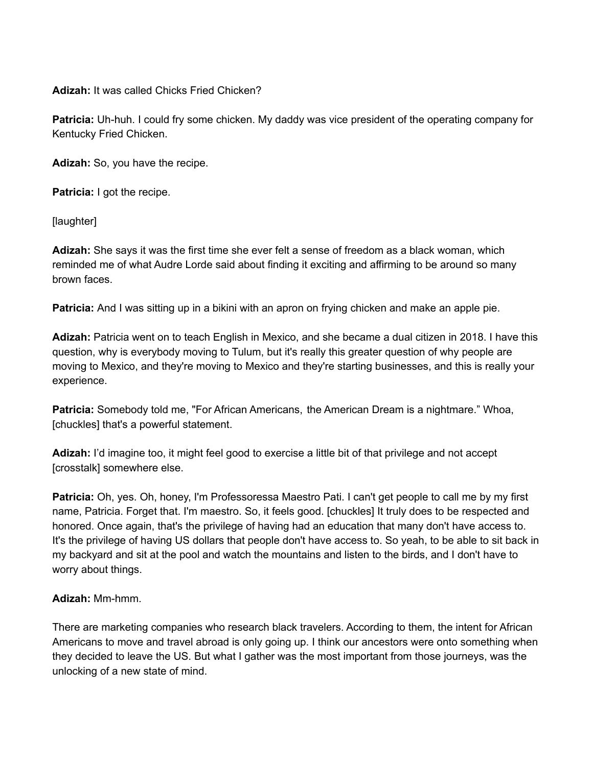**Adizah:** It was called Chicks Fried Chicken?

**Patricia:** Uh-huh. I could fry some chicken. My daddy was vice president of the operating company for Kentucky Fried Chicken.

**Adizah:** So, you have the recipe.

**Patricia:** I got the recipe.

[laughter]

**Adizah:** She says it was the first time she ever felt a sense of freedom as a black woman, which reminded me of what Audre Lorde said about finding it exciting and affirming to be around so many brown faces.

**Patricia:** And I was sitting up in a bikini with an apron on frying chicken and make an apple pie.

**Adizah:** Patricia went on to teach English in Mexico, and she became a dual citizen in 2018. I have this question, why is everybody moving to Tulum, but it's really this greater question of why people are moving to Mexico, and they're moving to Mexico and they're starting businesses, and this is really your experience.

**Patricia:** Somebody told me, "For African Americans, the American Dream is a nightmare." Whoa, [chuckles] that's a powerful statement.

**Adizah:** I'd imagine too, it might feel good to exercise a little bit of that privilege and not accept [crosstalk] somewhere else.

**Patricia:** Oh, yes. Oh, honey, I'm Professoressa Maestro Pati. I can't get people to call me by my first name, Patricia. Forget that. I'm maestro. So, it feels good. [chuckles] It truly does to be respected and honored. Once again, that's the privilege of having had an education that many don't have access to. It's the privilege of having US dollars that people don't have access to. So yeah, to be able to sit back in my backyard and sit at the pool and watch the mountains and listen to the birds, and I don't have to worry about things.

### **Adizah:** Mm-hmm.

There are marketing companies who research black travelers. According to them, the intent for African Americans to move and travel abroad is only going up. I think our ancestors were onto something when they decided to leave the US. But what I gather was the most important from those journeys, was the unlocking of a new state of mind.